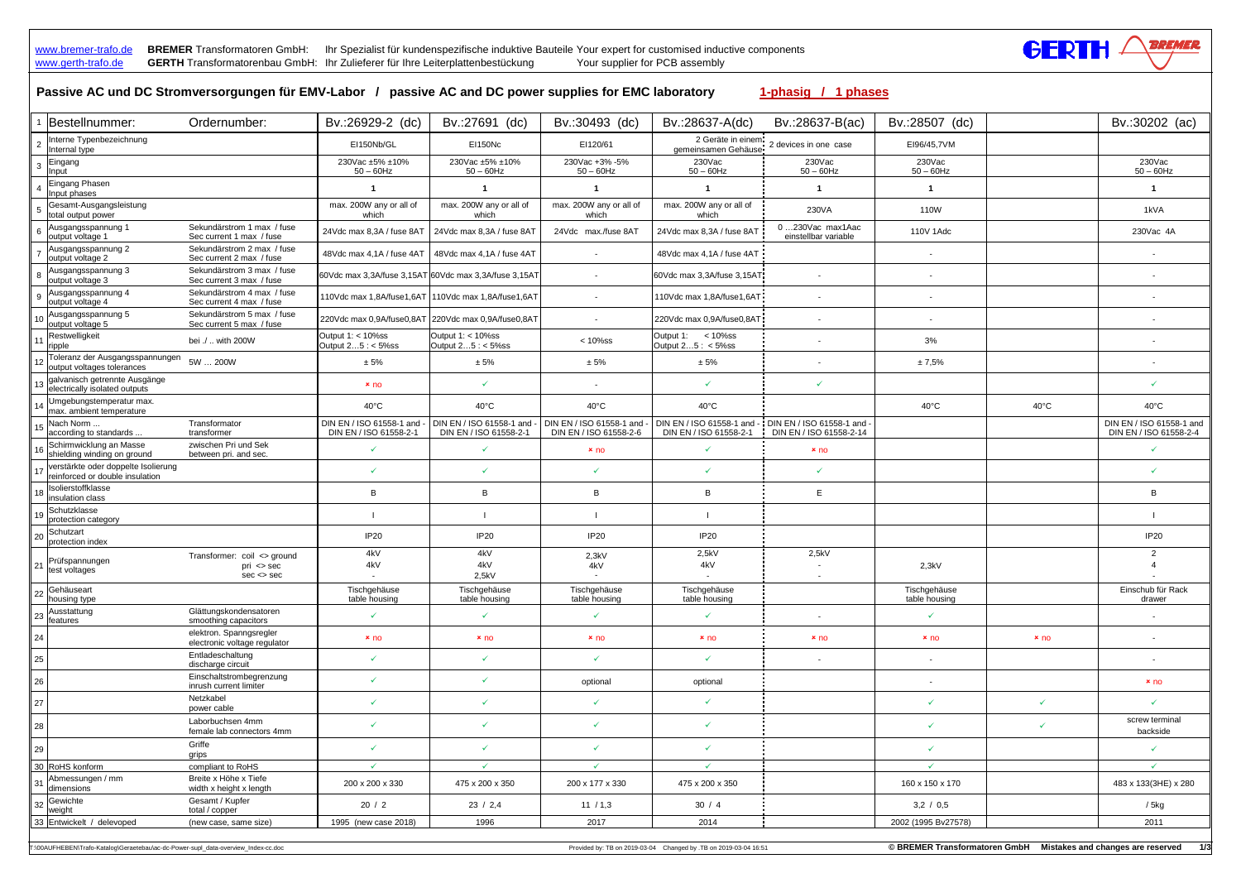www.bremer-trafo.de BREMER Transformatoren GmbH: Ihr Spezialist für kundenspezifische induktive Bauteile Your expert for customised inductive components www.gerth-trafo.de **GERTH** Transformatorenbau GmbH: Ihr Zulieferer für Ihre Leiterplattenbestückung Your supplier for PCB assembly

|                 | Passive AC und DC Stromversorgungen für EMV-Labor / passive AC and DC power supplies for EMC laboratory |                                                                |                                                       |                                                     |                                                    |                                                      | 1-phasig / 1 phases                                 |                               |                |                                                    |
|-----------------|---------------------------------------------------------------------------------------------------------|----------------------------------------------------------------|-------------------------------------------------------|-----------------------------------------------------|----------------------------------------------------|------------------------------------------------------|-----------------------------------------------------|-------------------------------|----------------|----------------------------------------------------|
|                 | 1  Bestellnummer:                                                                                       | Ordernumber:                                                   | Bv.:26929-2 (dc)                                      | Bv.:27691 (dc)                                      | Bv.:30493 (dc)                                     | Bv.:28637-A(dc)                                      | Bv.:28637-B(ac)                                     | Bv.:28507 (dc)                |                | Bv.:30202 (ac)                                     |
|                 | Interne Typenbezeichnung<br>Internal type                                                               |                                                                | EI150Nb/GL                                            | <b>EI150Nc</b>                                      | EI120/61                                           | 2 Geräte in einem<br>gemeinsamen Gehäuse             | 2 devices in one case                               | EI96/45,7VM                   |                |                                                    |
| 3               | Eingang<br>Input                                                                                        |                                                                | 230Vac ±5% ±10%<br>$50 - 60$ Hz                       | 230Vac ±5% ±10%<br>$50 - 60$ Hz                     | 230Vac +3% -5%<br>$50 - 60$ Hz                     | 230Vac<br>$50 - 60$ Hz                               | 230Vac<br>$50 - 60$ Hz                              | 230Vac<br>$50 - 60$ Hz        |                | 230Vac<br>$50 - 60$ Hz                             |
|                 | Eingang Phasen<br>Input phases                                                                          |                                                                |                                                       | $\mathbf 1$                                         |                                                    |                                                      | -1                                                  | $\mathbf{1}$                  |                | $\mathbf 1$                                        |
|                 | Gesamt-Ausgangsleistung<br>total output power                                                           |                                                                | max. 200W any or all of<br>which                      | max. 200W any or all of<br>which                    | max. 200W any or all of<br>which                   | max. 200W any or all of<br>which                     | 230VA                                               | 110W                          |                | 1kVA                                               |
|                 | Ausgangsspannung 1<br>output voltage 1                                                                  | Sekundärstrom 1 max / fuse<br>Sec current 1 max / fuse         | 24Vdc max 8,3A / fuse 8AT                             | 24Vdc max 8,3A / fuse 8A1                           | 24Vdc max./fuse 8AT                                | 24Vdc max 8,3A / fuse 8AT                            | 0230Vac max1Aac<br>einstellbar variable             | 110V 1Adc                     |                | 230Vac 4A                                          |
|                 | Ausgangsspannung 2<br>output voltage 2                                                                  | Sekundärstrom 2 max / fuse<br>Sec current 2 max / fuse         | 48Vdc max 4,1A / fuse 4AT                             | 48Vdc max 4,1A / fuse 4AT                           | $\sim$                                             | 48Vdc max 4,1A / fuse 4AT                            |                                                     |                               |                |                                                    |
|                 | Ausgangsspannung 3<br>output voltage 3                                                                  | Sekundärstrom 3 max / fuse<br>Sec current 3 max / fuse         | 60Vdc max 3,3A/fuse 3,15AT 60Vdc max 3,3A/fuse 3,15AT |                                                     | $\sim$                                             | 60Vdc max 3,3A/fuse 3,15AT                           |                                                     |                               |                |                                                    |
| 9               | Ausgangsspannung 4<br>output voltage 4                                                                  | Sekundärstrom 4 max / fuse<br>Sec current 4 max / fuse         |                                                       |                                                     |                                                    | 110Vdc max 1,8A/fuse1,6AT                            | $\sim$                                              |                               |                |                                                    |
|                 | Ausgangsspannung 5<br>output voltage 5                                                                  | Sekundärstrom 5 max / fuse<br>Sec current 5 max / fuse         |                                                       | 220Vdc max 0,9A/fuse0,8AT 220Vdc max 0,9A/fuse0,8AT |                                                    | 220Vdc max 0,9A/fuse0,8AT                            | $\sim$                                              |                               |                |                                                    |
|                 | Restwelligkeit<br>ripple                                                                                | bei ./  with 200W                                              | Output 1: < 10%ss<br>Output 25 : < 5%ss               | Output 1: < 10%ss<br>Output 25 : < 5%ss             | $< 10\%$ ss                                        | Output 1: < 10%ss<br>Output 25 : < 5%ss              |                                                     | 3%                            |                |                                                    |
|                 | Toleranz der Ausgangsspannungen<br>output voltages tolerances                                           | 5W  200W                                                       | ± 5%                                                  | ± 5%                                                | ± 5%                                               | $\pm$ 5%                                             |                                                     | ± 7,5%                        |                |                                                    |
|                 | galvanisch getrennte Ausgänge<br>electrically isolated outputs                                          |                                                                | x <sub>no</sub>                                       |                                                     |                                                    |                                                      | ✓                                                   |                               |                | $\checkmark$                                       |
|                 | Umgebungstemperatur max.<br>max. ambient temperature                                                    |                                                                | $40^{\circ}$ C                                        | $40^{\circ}$ C                                      | $40^{\circ}$ C                                     | $40^{\circ}$ C                                       |                                                     | $40^{\circ}$ C                | $40^{\circ}$ C | $40^{\circ}$ C                                     |
| 15 <sub>1</sub> | Nach Norm<br>according to standards                                                                     | Transformator<br>transformer                                   | DIN EN / ISO 61558-1 and<br>DIN EN / ISO 61558-2-1    | DIN EN / ISO 61558-1 and<br>DIN EN / ISO 61558-2-1  | DIN EN / ISO 61558-1 and<br>DIN EN / ISO 61558-2-6 | DIN EN / ISO 61558-1 and -<br>DIN EN / ISO 61558-2-1 | DIN EN / ISO 61558-1 and<br>DIN EN / ISO 61558-2-14 |                               |                | DIN EN / ISO 61558-1 and<br>DIN EN / ISO 61558-2-4 |
|                 | Schirmwicklung an Masse<br>shielding winding on ground                                                  | zwischen Pri und Sek<br>between pri. and sec.                  | ✓                                                     | $\checkmark$                                        | x <sub>no</sub>                                    | ✓                                                    | x <sub>no</sub>                                     |                               |                | $\checkmark$                                       |
|                 | verstärkte oder doppelte Isolierung<br>reinforced or double insulation                                  |                                                                | ✓                                                     | $\checkmark$                                        | ✓                                                  | ✓                                                    | ✓                                                   |                               |                | $\checkmark$                                       |
|                 | Isolierstoffklasse<br>insulation class                                                                  |                                                                | B                                                     | B                                                   | B                                                  | B                                                    | E                                                   |                               |                | B                                                  |
|                 | Schutzklasse<br>protection category                                                                     |                                                                |                                                       |                                                     |                                                    |                                                      |                                                     |                               |                |                                                    |
| 20              | Schutzart<br>protection index                                                                           |                                                                | <b>IP20</b>                                           | <b>IP20</b>                                         | <b>IP20</b>                                        | IP <sub>20</sub>                                     |                                                     |                               |                | <b>IP20</b>                                        |
| 21              | Prüfspannungen<br>test voltages                                                                         | Transformer: coil <> ground<br>$pri \leq$ sec<br>$sec \le$ sec | 4kV<br>4kV                                            | 4kV<br>4kV<br>2,5kV                                 | 2,3kV<br>4kV                                       | 2,5kV<br>4kV                                         | 2,5kV                                               | 2,3kV                         |                | $\mathcal{P}$                                      |
|                 | $22$ Gehäuseart<br>housing type                                                                         |                                                                | Tischgehäuse<br>table housing                         | Tischgehäuse<br>table housing                       | Tischgehäuse<br>table housing                      | Tischgehäuse<br>table housing                        |                                                     | Tischgehäuse<br>table housing |                | Einschub für Rack<br>drawer                        |
|                 | Ausstattung<br>$\frac{23}{\text{features}}$                                                             | Glättungskondensatoren<br>smoothing capacitors                 |                                                       |                                                     |                                                    | $\checkmark$                                         | $\sim$                                              |                               |                |                                                    |
| 24              |                                                                                                         | elektron. Spanngsregler<br>electronic voltage regulator        | x <sub>no</sub>                                       | $x$ no                                              | x <sub>no</sub>                                    | x <sub>no</sub>                                      | x <sub>no</sub>                                     | x <sub>no</sub>               | $x$ no         |                                                    |
| 25              |                                                                                                         | Entladeschaltung<br>discharge circuit                          | ✓                                                     | $\checkmark$                                        | $\checkmark$                                       | ✓                                                    |                                                     |                               |                |                                                    |
| 26              |                                                                                                         | Einschaltstrombegrenzung<br>inrush current limiter             | $\checkmark$                                          | $\checkmark$                                        | optional                                           | optional                                             |                                                     |                               |                | $x_{\text{no}}$                                    |
| 27              |                                                                                                         | Netzkabel<br>power cable                                       | ✓                                                     |                                                     |                                                    | ✓                                                    |                                                     | $\checkmark$                  | $\checkmark$   | $\checkmark$                                       |
| 28              |                                                                                                         | Laborbuchsen 4mm<br>female lab connectors 4mm                  | ✓                                                     | $\checkmark$                                        | ✓                                                  | $\checkmark$                                         |                                                     | $\checkmark$                  | $\checkmark$   | screw terminal<br>backside                         |
| 29              |                                                                                                         | Griffe<br>grips                                                | ✓                                                     | $\checkmark$                                        | $\checkmark$                                       | $\checkmark$                                         |                                                     | $\checkmark$                  |                | $\checkmark$                                       |
|                 | 30 RoHS konform                                                                                         | compliant to RoHS                                              | $\checkmark$                                          | $\checkmark$                                        | $\checkmark$                                       | $\checkmark$                                         |                                                     | $\checkmark$                  |                | $\checkmark$                                       |
|                 | Abmessungen / mm<br>$1^{31}$ dimensions                                                                 | Breite x Höhe x Tiefe<br>width x height x length               | 200 x 200 x 330                                       | 475 x 200 x 350                                     | 200 x 177 x 330                                    | 475 x 200 x 350                                      |                                                     | 160 x 150 x 170               |                | 483 x 133(3HE) x 280                               |
|                 | $\frac{1}{32}$ Gewichte<br>weight                                                                       | Gesamt / Kupfer<br>total / copper                              | 20/2                                                  | 23 / 2,4                                            | 11 / 1,3                                           | 30/4                                                 |                                                     | 3,2/0,5                       |                | $/5$ kg                                            |
|                 | 33 Entwickelt / delevoped                                                                               | (new case, same size)                                          | 1995 (new case 2018)                                  | 1996                                                | 2017                                               | 2014                                                 |                                                     | 2002 (1995 Bv27578)           |                | 2011                                               |

T:\00AUFHEBEN\Trafo-Katalog\Geraetebau\ac-dc-Power-supl\_data-overview\_Index-cc.doc **the content of the controlled by:** TB on 2019-03-04 Changed by .TB on 2019-03-04 16:51 © BREMER Transformatoren GmbH Mistakes and changes

GERTH 4

REMER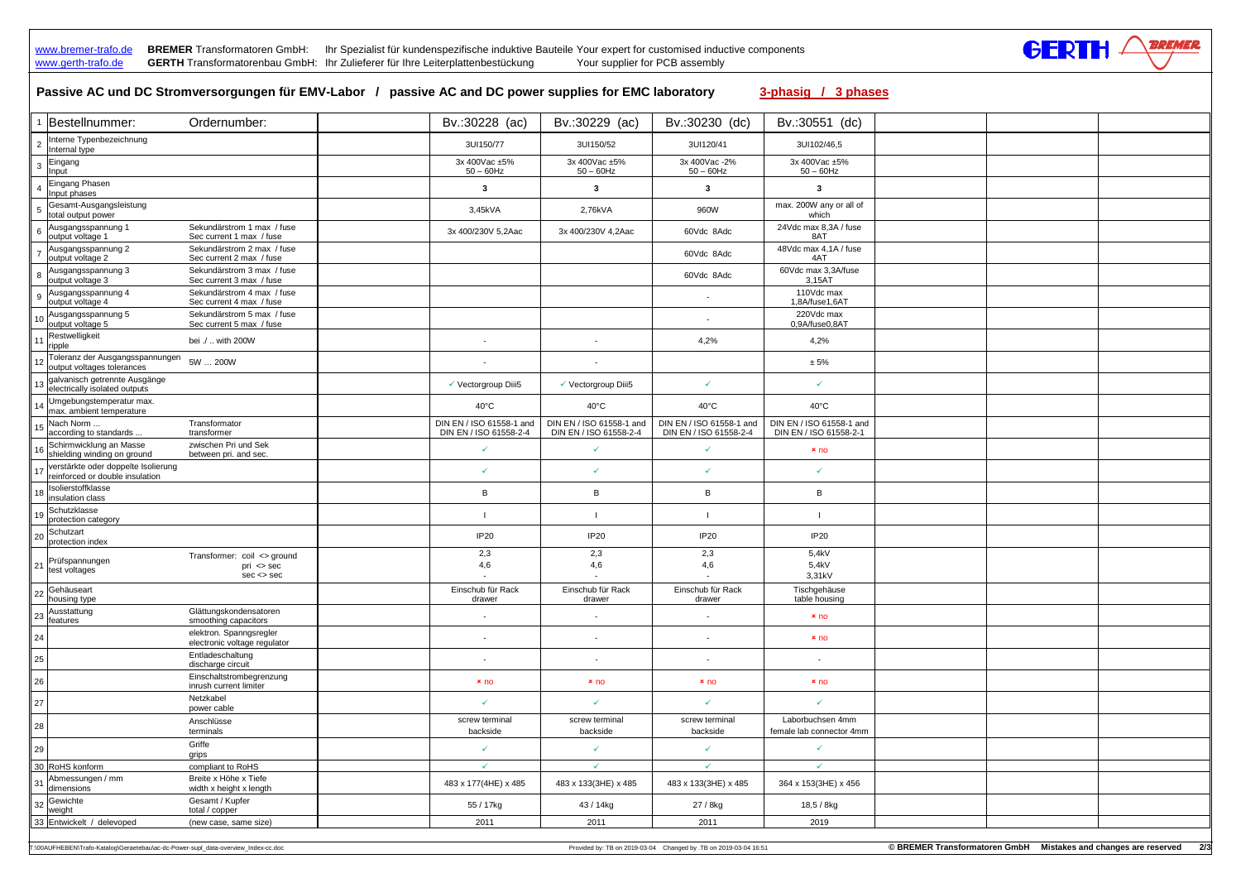## www.bremer-trafo.de **BREMER** Transformatoren GmbH: Ihr Spezialist für kundenspezifische induktive Bauteile Your expert for customised inductive components

| Passive AC und DC Stromversorgungen für EMV-Labor / passive AC and DC power supplies for EMC laboratory<br>3-phasig / 3 phases<br>1 Bestellnummer:<br>Bv.:30228 (ac)<br>Bv.:30230 (dc)<br>Bv.:30551 (dc)<br>Ordernumber:<br>Bv.:30229 (ac)<br>Interne Typenbezeichnung<br>3UI150/77<br>3UI150/52<br>3UI120/41<br>3UI102/46,5<br>Internal type<br>Eingang<br>3x 400Vac ±5%<br>3x 400Vac ±5%<br>3x 400Vac -2%<br>3x 400Vac ±5%<br>$50 - 60$ Hz<br>$50 - 60$ Hz<br>$50 - 60$ Hz<br>$50 - 60$ Hz<br>Input<br>Eingang Phasen<br>$\overline{\mathbf{3}}$<br>3<br>3<br>-3<br>Input phases<br>Gesamt-Ausgangsleistung<br>max. 200W any or all of<br>3,45kVA<br>2,76kVA<br>960W<br>total output power<br>which<br>Sekundärstrom 1 max / fuse<br>24Vdc max 8,3A / fuse<br>Ausgangsspannung 1<br>6<br>3x 400/230V 5,2Aac<br>3x 400/230V 4,2Aac<br>60Vdc 8Adc<br>8AT<br>output voltage 1<br>Sec current 1 max / fuse<br>Sekundärstrom 2 max / fuse<br>Ausgangsspannung 2<br>48Vdc max 4,1A / fuse<br>60Vdc 8Adc<br>output voltage 2<br>4AT<br>Sec current 2 max / fuse<br>Sekundärstrom 3 max / fuse<br>60Vdc max 3,3A/fuse<br>Ausgangsspannung 3<br>60Vdc 8Adc<br>output voltage 3<br>3,15AT<br>Sec current 3 max / fuse<br>Sekundärstrom 4 max / fuse<br>110Vdc max<br>Ausgangsspannung 4<br>$\mathbf{Q}$<br>$\blacksquare$<br>output voltage 4<br>Sec current 4 max / fuse<br>1,8A/fuse1,6AT<br>Sekundärstrom 5 max / fuse<br>220Vdc max<br>Ausgangsspannung 5<br>output voltage 5<br>Sec current 5 max / fuse<br>0.9A/fuse0.8AT<br>Restwelligkeit<br>bei ./  with 200W<br>4,2%<br>4,2%<br>11<br>$\sim$<br>ripple<br>Toleranz der Ausgangsspannungen<br>5W  200W<br>± 5%<br>output voltages tolerances<br>13 galvanisch getrennte Ausgänge<br>$\checkmark$<br>$\checkmark$<br>√ Vectorgroup Diii5<br>✔ Vectorgroup Diii5<br>electrically isolated outputs<br>Umgebungstemperatur max.<br>$40^{\circ}$ C<br>$40^{\circ}$ C<br>$40^{\circ}$ C<br>$40^{\circ}$ C<br>max. ambient temperature<br>DIN EN / ISO 61558-1 and<br>DIN EN / ISO 61558-1 and<br>DIN EN / ISO 61558-1 and<br>DIN EN / ISO 61558-1 and<br>Nach Norm<br>Transformator<br>according to standards<br>transformer<br>DIN EN / ISO 61558-2-4<br>DIN EN / ISO 61558-2-4<br>DIN EN / ISO 61558-2-4<br>DIN EN / ISO 61558-2-1 |  |  |  |  |  |  |  |  |  |  |  |  |
|---------------------------------------------------------------------------------------------------------------------------------------------------------------------------------------------------------------------------------------------------------------------------------------------------------------------------------------------------------------------------------------------------------------------------------------------------------------------------------------------------------------------------------------------------------------------------------------------------------------------------------------------------------------------------------------------------------------------------------------------------------------------------------------------------------------------------------------------------------------------------------------------------------------------------------------------------------------------------------------------------------------------------------------------------------------------------------------------------------------------------------------------------------------------------------------------------------------------------------------------------------------------------------------------------------------------------------------------------------------------------------------------------------------------------------------------------------------------------------------------------------------------------------------------------------------------------------------------------------------------------------------------------------------------------------------------------------------------------------------------------------------------------------------------------------------------------------------------------------------------------------------------------------------------------------------------------------------------------------------------------------------------------------------------------------------------------------------------------------------------------------------------------------------------------------------------------------------------------------------------------------------------------------|--|--|--|--|--|--|--|--|--|--|--|--|
|                                                                                                                                                                                                                                                                                                                                                                                                                                                                                                                                                                                                                                                                                                                                                                                                                                                                                                                                                                                                                                                                                                                                                                                                                                                                                                                                                                                                                                                                                                                                                                                                                                                                                                                                                                                                                                                                                                                                                                                                                                                                                                                                                                                                                                                                                 |  |  |  |  |  |  |  |  |  |  |  |  |
|                                                                                                                                                                                                                                                                                                                                                                                                                                                                                                                                                                                                                                                                                                                                                                                                                                                                                                                                                                                                                                                                                                                                                                                                                                                                                                                                                                                                                                                                                                                                                                                                                                                                                                                                                                                                                                                                                                                                                                                                                                                                                                                                                                                                                                                                                 |  |  |  |  |  |  |  |  |  |  |  |  |
|                                                                                                                                                                                                                                                                                                                                                                                                                                                                                                                                                                                                                                                                                                                                                                                                                                                                                                                                                                                                                                                                                                                                                                                                                                                                                                                                                                                                                                                                                                                                                                                                                                                                                                                                                                                                                                                                                                                                                                                                                                                                                                                                                                                                                                                                                 |  |  |  |  |  |  |  |  |  |  |  |  |
|                                                                                                                                                                                                                                                                                                                                                                                                                                                                                                                                                                                                                                                                                                                                                                                                                                                                                                                                                                                                                                                                                                                                                                                                                                                                                                                                                                                                                                                                                                                                                                                                                                                                                                                                                                                                                                                                                                                                                                                                                                                                                                                                                                                                                                                                                 |  |  |  |  |  |  |  |  |  |  |  |  |
|                                                                                                                                                                                                                                                                                                                                                                                                                                                                                                                                                                                                                                                                                                                                                                                                                                                                                                                                                                                                                                                                                                                                                                                                                                                                                                                                                                                                                                                                                                                                                                                                                                                                                                                                                                                                                                                                                                                                                                                                                                                                                                                                                                                                                                                                                 |  |  |  |  |  |  |  |  |  |  |  |  |
|                                                                                                                                                                                                                                                                                                                                                                                                                                                                                                                                                                                                                                                                                                                                                                                                                                                                                                                                                                                                                                                                                                                                                                                                                                                                                                                                                                                                                                                                                                                                                                                                                                                                                                                                                                                                                                                                                                                                                                                                                                                                                                                                                                                                                                                                                 |  |  |  |  |  |  |  |  |  |  |  |  |
|                                                                                                                                                                                                                                                                                                                                                                                                                                                                                                                                                                                                                                                                                                                                                                                                                                                                                                                                                                                                                                                                                                                                                                                                                                                                                                                                                                                                                                                                                                                                                                                                                                                                                                                                                                                                                                                                                                                                                                                                                                                                                                                                                                                                                                                                                 |  |  |  |  |  |  |  |  |  |  |  |  |
|                                                                                                                                                                                                                                                                                                                                                                                                                                                                                                                                                                                                                                                                                                                                                                                                                                                                                                                                                                                                                                                                                                                                                                                                                                                                                                                                                                                                                                                                                                                                                                                                                                                                                                                                                                                                                                                                                                                                                                                                                                                                                                                                                                                                                                                                                 |  |  |  |  |  |  |  |  |  |  |  |  |
|                                                                                                                                                                                                                                                                                                                                                                                                                                                                                                                                                                                                                                                                                                                                                                                                                                                                                                                                                                                                                                                                                                                                                                                                                                                                                                                                                                                                                                                                                                                                                                                                                                                                                                                                                                                                                                                                                                                                                                                                                                                                                                                                                                                                                                                                                 |  |  |  |  |  |  |  |  |  |  |  |  |
|                                                                                                                                                                                                                                                                                                                                                                                                                                                                                                                                                                                                                                                                                                                                                                                                                                                                                                                                                                                                                                                                                                                                                                                                                                                                                                                                                                                                                                                                                                                                                                                                                                                                                                                                                                                                                                                                                                                                                                                                                                                                                                                                                                                                                                                                                 |  |  |  |  |  |  |  |  |  |  |  |  |
|                                                                                                                                                                                                                                                                                                                                                                                                                                                                                                                                                                                                                                                                                                                                                                                                                                                                                                                                                                                                                                                                                                                                                                                                                                                                                                                                                                                                                                                                                                                                                                                                                                                                                                                                                                                                                                                                                                                                                                                                                                                                                                                                                                                                                                                                                 |  |  |  |  |  |  |  |  |  |  |  |  |
|                                                                                                                                                                                                                                                                                                                                                                                                                                                                                                                                                                                                                                                                                                                                                                                                                                                                                                                                                                                                                                                                                                                                                                                                                                                                                                                                                                                                                                                                                                                                                                                                                                                                                                                                                                                                                                                                                                                                                                                                                                                                                                                                                                                                                                                                                 |  |  |  |  |  |  |  |  |  |  |  |  |
|                                                                                                                                                                                                                                                                                                                                                                                                                                                                                                                                                                                                                                                                                                                                                                                                                                                                                                                                                                                                                                                                                                                                                                                                                                                                                                                                                                                                                                                                                                                                                                                                                                                                                                                                                                                                                                                                                                                                                                                                                                                                                                                                                                                                                                                                                 |  |  |  |  |  |  |  |  |  |  |  |  |
|                                                                                                                                                                                                                                                                                                                                                                                                                                                                                                                                                                                                                                                                                                                                                                                                                                                                                                                                                                                                                                                                                                                                                                                                                                                                                                                                                                                                                                                                                                                                                                                                                                                                                                                                                                                                                                                                                                                                                                                                                                                                                                                                                                                                                                                                                 |  |  |  |  |  |  |  |  |  |  |  |  |
|                                                                                                                                                                                                                                                                                                                                                                                                                                                                                                                                                                                                                                                                                                                                                                                                                                                                                                                                                                                                                                                                                                                                                                                                                                                                                                                                                                                                                                                                                                                                                                                                                                                                                                                                                                                                                                                                                                                                                                                                                                                                                                                                                                                                                                                                                 |  |  |  |  |  |  |  |  |  |  |  |  |
|                                                                                                                                                                                                                                                                                                                                                                                                                                                                                                                                                                                                                                                                                                                                                                                                                                                                                                                                                                                                                                                                                                                                                                                                                                                                                                                                                                                                                                                                                                                                                                                                                                                                                                                                                                                                                                                                                                                                                                                                                                                                                                                                                                                                                                                                                 |  |  |  |  |  |  |  |  |  |  |  |  |
| zwischen Pri und Sek<br>Schirmwicklung an Masse<br>✓<br>$\checkmark$<br>$x_{\text{no}}$<br>shielding winding on ground<br>between pri. and sec.                                                                                                                                                                                                                                                                                                                                                                                                                                                                                                                                                                                                                                                                                                                                                                                                                                                                                                                                                                                                                                                                                                                                                                                                                                                                                                                                                                                                                                                                                                                                                                                                                                                                                                                                                                                                                                                                                                                                                                                                                                                                                                                                 |  |  |  |  |  |  |  |  |  |  |  |  |
| verstärkte oder doppelte Isolierung<br>✓<br>$\checkmark$<br>$\checkmark$<br>reinforced or double insulation                                                                                                                                                                                                                                                                                                                                                                                                                                                                                                                                                                                                                                                                                                                                                                                                                                                                                                                                                                                                                                                                                                                                                                                                                                                                                                                                                                                                                                                                                                                                                                                                                                                                                                                                                                                                                                                                                                                                                                                                                                                                                                                                                                     |  |  |  |  |  |  |  |  |  |  |  |  |
| Isolierstoffklasse<br>$\frac{18}{\text{insulation class}}$<br>В<br>B<br>В<br>В                                                                                                                                                                                                                                                                                                                                                                                                                                                                                                                                                                                                                                                                                                                                                                                                                                                                                                                                                                                                                                                                                                                                                                                                                                                                                                                                                                                                                                                                                                                                                                                                                                                                                                                                                                                                                                                                                                                                                                                                                                                                                                                                                                                                  |  |  |  |  |  |  |  |  |  |  |  |  |
| Schutzklasse<br>19<br>protection category                                                                                                                                                                                                                                                                                                                                                                                                                                                                                                                                                                                                                                                                                                                                                                                                                                                                                                                                                                                                                                                                                                                                                                                                                                                                                                                                                                                                                                                                                                                                                                                                                                                                                                                                                                                                                                                                                                                                                                                                                                                                                                                                                                                                                                       |  |  |  |  |  |  |  |  |  |  |  |  |
| 20 Schutzart<br>IP20<br><b>IP20</b><br>IP20<br>IP20<br>protection index                                                                                                                                                                                                                                                                                                                                                                                                                                                                                                                                                                                                                                                                                                                                                                                                                                                                                                                                                                                                                                                                                                                                                                                                                                                                                                                                                                                                                                                                                                                                                                                                                                                                                                                                                                                                                                                                                                                                                                                                                                                                                                                                                                                                         |  |  |  |  |  |  |  |  |  |  |  |  |
| 2,3<br>2,3<br>5,4kV<br>2,3<br>Transformer: coil <> ground<br>Prüfspannungen<br>4,6<br>4,6<br>5,4kV<br>4,6<br>21<br>$pri \leq sec$                                                                                                                                                                                                                                                                                                                                                                                                                                                                                                                                                                                                                                                                                                                                                                                                                                                                                                                                                                                                                                                                                                                                                                                                                                                                                                                                                                                                                                                                                                                                                                                                                                                                                                                                                                                                                                                                                                                                                                                                                                                                                                                                               |  |  |  |  |  |  |  |  |  |  |  |  |
| test voltages<br>$sec \le$ sec<br>3,31kV<br>Gehäuseart<br>Einschub für Rack<br>Einschub für Rack<br>Einschub für Rack<br>Tischgehäuse                                                                                                                                                                                                                                                                                                                                                                                                                                                                                                                                                                                                                                                                                                                                                                                                                                                                                                                                                                                                                                                                                                                                                                                                                                                                                                                                                                                                                                                                                                                                                                                                                                                                                                                                                                                                                                                                                                                                                                                                                                                                                                                                           |  |  |  |  |  |  |  |  |  |  |  |  |
| 22<br>housing type<br>table housing<br>drawer<br>drawer<br>drawer<br>Glättungskondensatoren<br>Ausstattung                                                                                                                                                                                                                                                                                                                                                                                                                                                                                                                                                                                                                                                                                                                                                                                                                                                                                                                                                                                                                                                                                                                                                                                                                                                                                                                                                                                                                                                                                                                                                                                                                                                                                                                                                                                                                                                                                                                                                                                                                                                                                                                                                                      |  |  |  |  |  |  |  |  |  |  |  |  |
| 23<br>x <sub>no</sub><br>$\sim$<br>smoothing capacitors<br>features<br>elektron. Spanngsregler                                                                                                                                                                                                                                                                                                                                                                                                                                                                                                                                                                                                                                                                                                                                                                                                                                                                                                                                                                                                                                                                                                                                                                                                                                                                                                                                                                                                                                                                                                                                                                                                                                                                                                                                                                                                                                                                                                                                                                                                                                                                                                                                                                                  |  |  |  |  |  |  |  |  |  |  |  |  |
| 24<br>x <sub>no</sub><br>$\sim$<br>$\sim$<br>electronic voltage regulator<br>Entladeschaltung                                                                                                                                                                                                                                                                                                                                                                                                                                                                                                                                                                                                                                                                                                                                                                                                                                                                                                                                                                                                                                                                                                                                                                                                                                                                                                                                                                                                                                                                                                                                                                                                                                                                                                                                                                                                                                                                                                                                                                                                                                                                                                                                                                                   |  |  |  |  |  |  |  |  |  |  |  |  |
| 25<br>$\sim$<br>$\sim$<br>$\sim$<br>$\sim$<br>discharge circuit<br>Einschaltstrombegrenzung                                                                                                                                                                                                                                                                                                                                                                                                                                                                                                                                                                                                                                                                                                                                                                                                                                                                                                                                                                                                                                                                                                                                                                                                                                                                                                                                                                                                                                                                                                                                                                                                                                                                                                                                                                                                                                                                                                                                                                                                                                                                                                                                                                                     |  |  |  |  |  |  |  |  |  |  |  |  |
| 26<br>x <sub>no</sub><br>x <sub>no</sub><br>x <sub>no</sub><br>$x_{\text{no}}$<br>inrush current limiter<br>Netzkabel                                                                                                                                                                                                                                                                                                                                                                                                                                                                                                                                                                                                                                                                                                                                                                                                                                                                                                                                                                                                                                                                                                                                                                                                                                                                                                                                                                                                                                                                                                                                                                                                                                                                                                                                                                                                                                                                                                                                                                                                                                                                                                                                                           |  |  |  |  |  |  |  |  |  |  |  |  |
| $\checkmark$<br>27<br>$\checkmark$<br>$\checkmark$<br>power cable                                                                                                                                                                                                                                                                                                                                                                                                                                                                                                                                                                                                                                                                                                                                                                                                                                                                                                                                                                                                                                                                                                                                                                                                                                                                                                                                                                                                                                                                                                                                                                                                                                                                                                                                                                                                                                                                                                                                                                                                                                                                                                                                                                                                               |  |  |  |  |  |  |  |  |  |  |  |  |
| Laborbuchsen 4mm<br>screw terminal<br>screw terminal<br>screw terminal<br>Anschlüsse<br>28<br>terminals<br>backside<br>backside<br>backside<br>female lab connector 4mm                                                                                                                                                                                                                                                                                                                                                                                                                                                                                                                                                                                                                                                                                                                                                                                                                                                                                                                                                                                                                                                                                                                                                                                                                                                                                                                                                                                                                                                                                                                                                                                                                                                                                                                                                                                                                                                                                                                                                                                                                                                                                                         |  |  |  |  |  |  |  |  |  |  |  |  |
| Griffe<br>$\checkmark$<br>29<br>$\checkmark$<br>grips                                                                                                                                                                                                                                                                                                                                                                                                                                                                                                                                                                                                                                                                                                                                                                                                                                                                                                                                                                                                                                                                                                                                                                                                                                                                                                                                                                                                                                                                                                                                                                                                                                                                                                                                                                                                                                                                                                                                                                                                                                                                                                                                                                                                                           |  |  |  |  |  |  |  |  |  |  |  |  |
| 30 RoHS konform<br>compliant to RoHS<br>$\checkmark$<br>$\checkmark$<br>$\checkmark$<br>$\checkmark$<br>Breite x Höhe x Tiefe<br>31 Abmessungen / mm<br>483 x 177(4HE) x 485<br>483 x 133(3HE) x 485<br>364 x 153(3HE) x 456<br>483 x 133(3HE) x 485                                                                                                                                                                                                                                                                                                                                                                                                                                                                                                                                                                                                                                                                                                                                                                                                                                                                                                                                                                                                                                                                                                                                                                                                                                                                                                                                                                                                                                                                                                                                                                                                                                                                                                                                                                                                                                                                                                                                                                                                                            |  |  |  |  |  |  |  |  |  |  |  |  |
| width x height x length<br>32 Gewichte<br>Gesamt / Kupfer<br>55 / 17kg<br>43 / 14kg<br>27 / 8kg<br>18,5 / 8kg                                                                                                                                                                                                                                                                                                                                                                                                                                                                                                                                                                                                                                                                                                                                                                                                                                                                                                                                                                                                                                                                                                                                                                                                                                                                                                                                                                                                                                                                                                                                                                                                                                                                                                                                                                                                                                                                                                                                                                                                                                                                                                                                                                   |  |  |  |  |  |  |  |  |  |  |  |  |
| total / copper<br>33 Entwickelt / delevoped<br>2011<br>2011<br>2011<br>2019<br>(new case, same size)                                                                                                                                                                                                                                                                                                                                                                                                                                                                                                                                                                                                                                                                                                                                                                                                                                                                                                                                                                                                                                                                                                                                                                                                                                                                                                                                                                                                                                                                                                                                                                                                                                                                                                                                                                                                                                                                                                                                                                                                                                                                                                                                                                            |  |  |  |  |  |  |  |  |  |  |  |  |